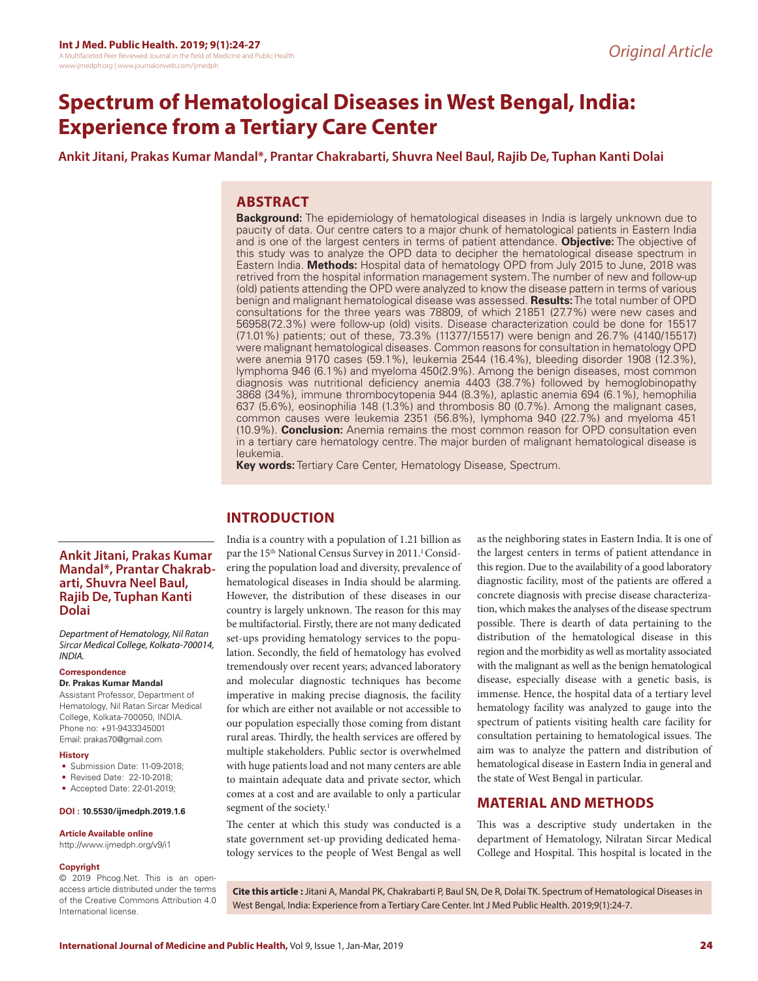# **Spectrum of Hematological Diseases in West Bengal, India: Experience from a Tertiary Care Center**

**Ankit Jitani, Prakas Kumar Mandal\*, Prantar Chakrabarti, Shuvra Neel Baul, Rajib De, Tuphan Kanti Dolai**

# **ABSTRACT**

**Background:** The epidemiology of hematological diseases in India is largely unknown due to paucity of data. Our centre caters to a major chunk of hematological patients in Eastern India and is one of the largest centers in terms of patient attendance. **Objective:** The objective of this study was to analyze the OPD data to decipher the hematological disease spectrum in Eastern India. **Methods:** Hospital data of hematology OPD from July 2015 to June, 2018 was retrived from the hospital information management system. The number of new and follow-up (old) patients attending the OPD were analyzed to know the disease pattern in terms of various benign and malignant hematological disease was assessed. **Results:** The total number of OPD consultations for the three years was 78809, of which 21851 (27.7%) were new cases and 56958(72.3%) were follow-up (old) visits. Disease characterization could be done for 15517 (71.01%) patients; out of these, 73.3% (11377/15517) were benign and 26.7% (4140/15517) were malignant hematological diseases. Common reasons for consultation in hematology OPD were anemia 9170 cases (59.1%), leukemia 2544 (16.4%), bleeding disorder 1908 (12.3%), lymphoma 946 (6.1%) and myeloma 450(2.9%). Among the benign diseases, most common diagnosis was nutritional deficiency anemia 4403 (38.7%) followed by hemoglobinopathy 3868 (34%), immune thrombocytopenia 944 (8.3%), aplastic anemia 694 (6.1%), hemophilia 637 (5.6%), eosinophilia 148 (1.3%) and thrombosis 80 (0.7%). Among the malignant cases, common causes were leukemia 2351 (56.8%), lymphoma 940 (22.7%) and myeloma 451 (10.9%). **Conclusion:** Anemia remains the most common reason for OPD consultation even in a tertiary care hematology centre. The major burden of malignant hematological disease is leukemia.

**Key words:** Tertiary Care Center, Hematology Disease, Spectrum.

# **INTRODUCTION**

India is a country with a population of 1.21 billion as par the 15<sup>th</sup> National Census Survey in 2011.<sup>1</sup> Considering the population load and diversity, prevalence of hematological diseases in India should be alarming. However, the distribution of these diseases in our country is largely unknown. The reason for this may be multifactorial. Firstly, there are not many dedicated set-ups providing hematology services to the population. Secondly, the field of hematology has evolved tremendously over recent years; advanced laboratory and molecular diagnostic techniques has become imperative in making precise diagnosis, the facility for which are either not available or not accessible to our population especially those coming from distant rural areas. Thirdly, the health services are offered by multiple stakeholders. Public sector is overwhelmed with huge patients load and not many centers are able to maintain adequate data and private sector, which comes at a cost and are available to only a particular segment of the society.<sup>1</sup>

The center at which this study was conducted is a state government set-up providing dedicated hematology services to the people of West Bengal as well

as the neighboring states in Eastern India. It is one of the largest centers in terms of patient attendance in this region. Due to the availability of a good laboratory diagnostic facility, most of the patients are offered a concrete diagnosis with precise disease characterization, which makes the analyses of the disease spectrum possible. There is dearth of data pertaining to the distribution of the hematological disease in this region and the morbidity as well as mortality associated with the malignant as well as the benign hematological disease, especially disease with a genetic basis, is immense. Hence, the hospital data of a tertiary level hematology facility was analyzed to gauge into the spectrum of patients visiting health care facility for consultation pertaining to hematological issues. The aim was to analyze the pattern and distribution of hematological disease in Eastern India in general and the state of West Bengal in particular.

# **MATERIAL AND METHODS**

This was a descriptive study undertaken in the department of Hematology, Nilratan Sircar Medical College and Hospital. This hospital is located in the

# **Ankit Jitani, Prakas Kumar Mandal\*, Prantar Chakrabarti, Shuvra Neel Baul, Rajib De, Tuphan Kanti Dolai**

*Department of Hematology, Nil Ratan Sircar Medical College, Kolkata-700014, INDIA.*

### **Correspondence**

#### **Dr. Prakas Kumar Mandal**

Assistant Professor, Department of Hematology, Nil Ratan Sircar Medical College, Kolkata-700050, INDIA. Phone no: +91-9433345001 Email: prakas70@gmail.com

#### **History**

- Submission Date: 11-09-2018;
- Revised Date: 22-10-2018;
- Accepted Date: 22-01-2019;

#### **DOI : 10.5530/ijmedph.2019.1.6**

#### **Article Available online**

http://www.ijmedph.org/v9/i1

#### **Copyright**

© 2019 Phcog.Net. This is an openaccess article distributed under the terms of the Creative Commons Attribution 4.0 International license.

**Cite this article :** Jitani A, Mandal PK, Chakrabarti P, Baul SN, De R, Dolai TK. Spectrum of Hematological Diseases in West Bengal, India: Experience from a Tertiary Care Center. Int J Med Public Health. 2019;9(1):24-7.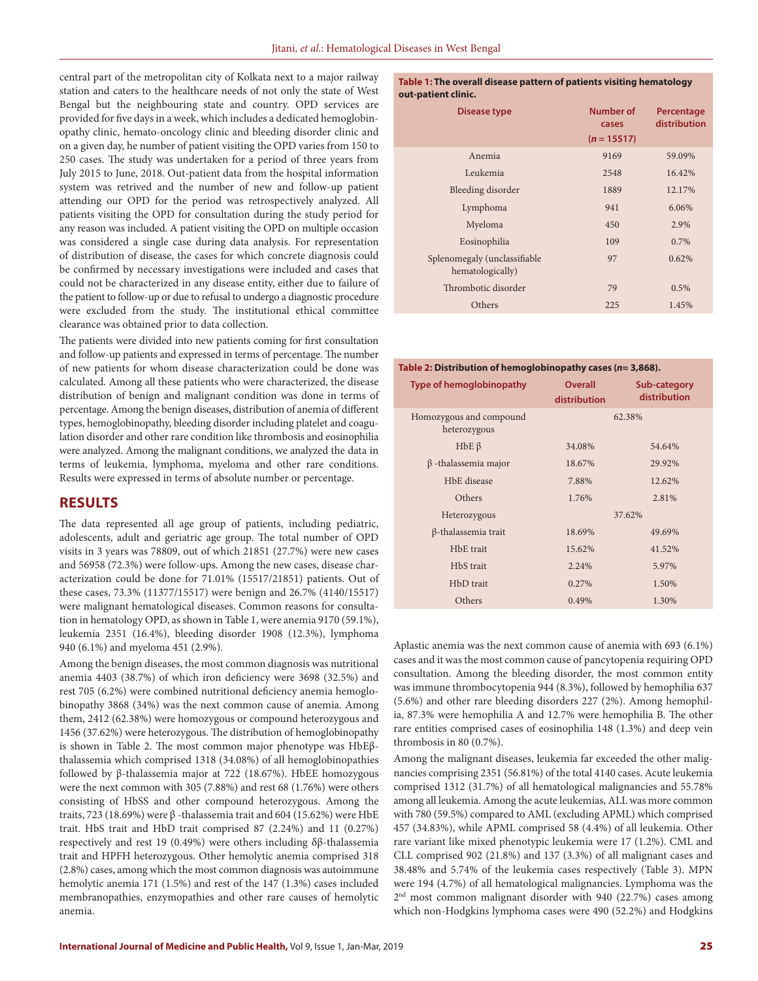central part of the metropolitan city of Kolkata next to a major railway station and caters to the healthcare needs of not only the state of West Bengal but the neighbouring state and country. OPD services are provided for five days in a week, which includes a dedicated hemoglobinopathy clinic, hemato-oncology clinic and bleeding disorder clinic and on a given day, he number of patient visiting the OPD varies from 150 to 250 cases. The study was undertaken for a period of three years from July 2015 to June, 2018. Out-patient data from the hospital information system was retrived and the number of new and follow-up patient attending our OPD for the period was retrospectively analyzed. All patients visiting the OPD for consultation during the study period for any reason was included. A patient visiting the OPD on multiple occasion was considered a single case during data analysis. For representation of distribution of disease, the cases for which concrete diagnosis could be confirmed by necessary investigations were included and cases that could not be characterized in any disease entity, either due to failure of the patient to follow-up or due to refusal to undergo a diagnostic procedure were excluded from the study. The institutional ethical committee clearance was obtained prior to data collection.

The patients were divided into new patients coming for first consultation and follow-up patients and expressed in terms of percentage. The number of new patients for whom disease characterization could be done was calculated. Among all these patients who were characterized, the disease distribution of benign and malignant condition was done in terms of percentage. Among the benign diseases, distribution of anemia of different types, hemoglobinopathy, bleeding disorder including platelet and coagulation disorder and other rare condition like thrombosis and eosinophilia were analyzed. Among the malignant conditions, we analyzed the data in terms of leukemia, lymphoma, myeloma and other rare conditions. Results were expressed in terms of absolute number or percentage.

# **RESULTS**

The data represented all age group of patients, including pediatric, adolescents, adult and geriatric age group. The total number of OPD visits in 3 years was 78809, out of which 21851 (27.7%) were new cases and 56958 (72.3%) were follow-ups. Among the new cases, disease characterization could be done for 71.01% (15517/21851) patients. Out of these cases, 73.3% (11377/15517) were benign and 26.7% (4140/15517) were malignant hematological diseases. Common reasons for consultation in hematology OPD, as shown in Table 1, were anemia 9170 (59.1%), leukemia 2351 (16.4%), bleeding disorder 1908 (12.3%), lymphoma 940 (6.1%) and myeloma 451 (2.9%).

Among the benign diseases, the most common diagnosis was nutritional anemia 4403 (38.7%) of which iron deficiency were 3698 (32.5%) and rest 705 (6.2%) were combined nutritional deficiency anemia hemoglobinopathy 3868 (34%) was the next common cause of anemia. Among them, 2412 (62.38%) were homozygous or compound heterozygous and 1456 (37.62%) were heterozygous. The distribution of hemoglobinopathy is shown in Table 2. The most common major phenotype was HbEβthalassemia which comprised 1318 (34.08%) of all hemoglobinopathies followed by β-thalassemia major at 722 (18.67%). HbEE homozygous were the next common with 305 (7.88%) and rest 68 (1.76%) were others consisting of HbSS and other compound heterozygous. Among the traits, 723 (18.69%) were β -thalassemia trait and 604 (15.62%) were HbE trait. HbS trait and HbD trait comprised 87 (2.24%) and 11 (0.27%) respectively and rest 19 (0.49%) were others including δβ-thalassemia trait and HPFH heterozygous. Other hemolytic anemia comprised 318 (2.8%) cases, among which the most common diagnosis was autoimmune hemolytic anemia 171 (1.5%) and rest of the 147 (1.3%) cases included membranopathies, enzymopathies and other rare causes of hemolytic anemia.

#### **Table 1: The overall disease pattern of patients visiting hematology out-patient clinic.**

| Disease type                                     | Number of<br>cases<br>$(n = 15517)$ | Percentage<br>distribution |
|--------------------------------------------------|-------------------------------------|----------------------------|
| Anemia                                           | 9169                                | 59.09%                     |
| Leukemia                                         | 2548                                | 16.42%                     |
| Bleeding disorder                                | 1889                                | 12.17%                     |
| Lymphoma                                         | 941                                 | 6.06%                      |
| Myeloma                                          | 450                                 | 2.9%                       |
| Eosinophilia                                     | 109                                 | $0.7\%$                    |
| Splenomegaly (unclassifiable<br>hematologically) | 97                                  | 0.62%                      |
| Thrombotic disorder                              | 79                                  | 0.5%                       |
| Others                                           | 225                                 | 1.45%                      |

#### **Table 2: Distribution of hemoglobinopathy cases (***n***= 3,868).**

| <b>Type of hemoglobinopathy</b>         | <b>Overall</b><br>distribution | Sub-category<br>distribution |  |
|-----------------------------------------|--------------------------------|------------------------------|--|
| Homozygous and compound<br>heterozygous |                                | 62.38%                       |  |
| $HbE\beta$                              | 34.08%                         | 54.64%                       |  |
| $\beta$ -thalassemia major              | 18.67%                         | 29.92%                       |  |
| H <sub>b</sub> E disease                | 7.88%                          | 12.62%                       |  |
| Others                                  | 1.76%                          | 2.81%                        |  |
| Heterozygous                            |                                | 37.62%                       |  |
| $\beta$ -thalassemia trait              | 18.69%                         | 49.69%                       |  |
| H <sub>b</sub> E trait                  | 15.62%                         | 41.52%                       |  |
| HbS trait                               | 2.24%                          | 5.97%                        |  |
| H <sub>b</sub> D trait                  | 0.27%                          | 1.50%                        |  |
| Others                                  | 0.49%                          | 1.30%                        |  |

Aplastic anemia was the next common cause of anemia with 693 (6.1%) cases and it was the most common cause of pancytopenia requiring OPD consultation. Among the bleeding disorder, the most common entity was immune thrombocytopenia 944 (8.3%), followed by hemophilia 637 (5.6%) and other rare bleeding disorders 227 (2%). Among hemophilia, 87.3% were hemophilia A and 12.7% were hemophilia B. The other rare entities comprised cases of eosinophilia 148 (1.3%) and deep vein thrombosis in 80 (0.7%).

Among the malignant diseases, leukemia far exceeded the other malignancies comprising 2351 (56.81%) of the total 4140 cases. Acute leukemia comprised 1312 (31.7%) of all hematological malignancies and 55.78% among all leukemia. Among the acute leukemias, ALL was more common with 780 (59.5%) compared to AML (excluding APML) which comprised 457 (34.83%), while APML comprised 58 (4.4%) of all leukemia. Other rare variant like mixed phenotypic leukemia were 17 (1.2%). CML and CLL comprised 902 (21.8%) and 137 (3.3%) of all malignant cases and 38.48% and 5.74% of the leukemia cases respectively (Table 3). MPN were 194 (4.7%) of all hematological malignancies. Lymphoma was the 2nd most common malignant disorder with 940 (22.7%) cases among which non-Hodgkins lymphoma cases were 490 (52.2%) and Hodgkins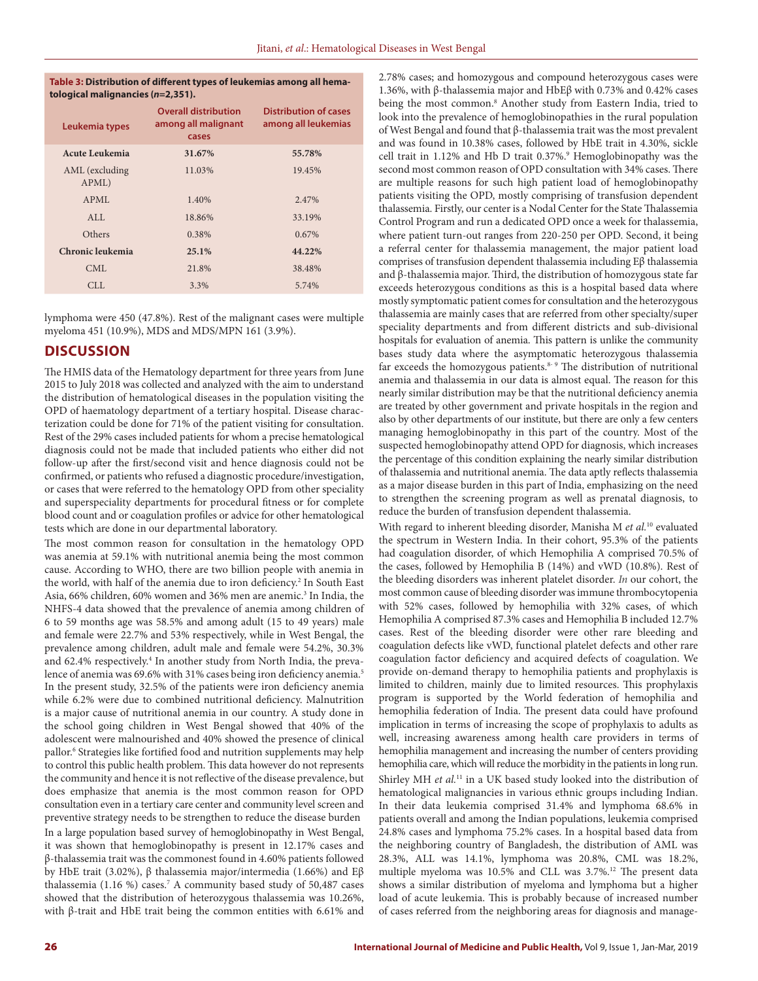#### **Table 3: Distribution of different types of leukemias among all hematological malignancies (***n***=2,351).**

| Leukemia types          | <b>Overall distribution</b><br>among all malignant<br>cases | Distribution of cases<br>among all leukemias |
|-------------------------|-------------------------------------------------------------|----------------------------------------------|
| Acute Leukemia          | 31.67%                                                      | 55.78%                                       |
| AML (excluding<br>APML) | 11.03%                                                      | 19.45%                                       |
| APML                    | 1.40%                                                       | 2.47%                                        |
| ALL                     | 18.86%                                                      | 33.19%                                       |
| Others                  | 0.38%                                                       | $0.67\%$                                     |
| Chronic leukemia        | 25.1%                                                       | 44.22%                                       |
| CML                     | 21.8%                                                       | 38.48%                                       |
| CLL.                    | 3.3%                                                        | 5.74%                                        |

lymphoma were 450 (47.8%). Rest of the malignant cases were multiple myeloma 451 (10.9%), MDS and MDS/MPN 161 (3.9%).

# **DISCUSSION**

The HMIS data of the Hematology department for three years from June 2015 to July 2018 was collected and analyzed with the aim to understand the distribution of hematological diseases in the population visiting the OPD of haematology department of a tertiary hospital. Disease characterization could be done for 71% of the patient visiting for consultation. Rest of the 29% cases included patients for whom a precise hematological diagnosis could not be made that included patients who either did not follow-up after the first/second visit and hence diagnosis could not be confirmed, or patients who refused a diagnostic procedure/investigation, or cases that were referred to the hematology OPD from other speciality and superspeciality departments for procedural fitness or for complete blood count and or coagulation profiles or advice for other hematological tests which are done in our departmental laboratory.

The most common reason for consultation in the hematology OPD was anemia at 59.1% with nutritional anemia being the most common cause. According to WHO, there are two billion people with anemia in the world, with half of the anemia due to iron deficiency.<sup>2</sup> In South East Asia, 66% children, 60% women and 36% men are anemic.<sup>3</sup> In India, the NHFS-4 data showed that the prevalence of anemia among children of 6 to 59 months age was 58.5% and among adult (15 to 49 years) male and female were 22.7% and 53% respectively, while in West Bengal, the prevalence among children, adult male and female were 54.2%, 30.3% and 62.4% respectively.<sup>4</sup> In another study from North India, the prevalence of anemia was 69.6% with 31% cases being iron deficiency anemia.5 In the present study, 32.5% of the patients were iron deficiency anemia while 6.2% were due to combined nutritional deficiency. Malnutrition is a major cause of nutritional anemia in our country. A study done in the school going children in West Bengal showed that 40% of the adolescent were malnourished and 40% showed the presence of clinical pallor.6 Strategies like fortified food and nutrition supplements may help to control this public health problem. This data however do not represents the community and hence it is not reflective of the disease prevalence, but does emphasize that anemia is the most common reason for OPD consultation even in a tertiary care center and community level screen and preventive strategy needs to be strengthen to reduce the disease burden In a large population based survey of hemoglobinopathy in West Bengal, it was shown that hemoglobinopathy is present in 12.17% cases and β-thalassemia trait was the commonest found in 4.60% patients followed by HbE trait (3.02%), β thalassemia major/intermedia (1.66%) and Eβ thalassemia (1.16 %) cases.7 A community based study of 50,487 cases showed that the distribution of heterozygous thalassemia was 10.26%, with β-trait and HbE trait being the common entities with 6.61% and

2.78% cases; and homozygous and compound heterozygous cases were 1.36%, with β-thalassemia major and HbEβ with 0.73% and 0.42% cases being the most common.<sup>8</sup> Another study from Eastern India, tried to look into the prevalence of hemoglobinopathies in the rural population of West Bengal and found that β-thalassemia trait was the most prevalent and was found in 10.38% cases, followed by HbE trait in 4.30%, sickle cell trait in 1.12% and Hb D trait 0.37%.<sup>9</sup> Hemoglobinopathy was the second most common reason of OPD consultation with 34% cases. There are multiple reasons for such high patient load of hemoglobinopathy patients visiting the OPD, mostly comprising of transfusion dependent thalassemia. Firstly, our center is a Nodal Center for the State Thalassemia Control Program and run a dedicated OPD once a week for thalassemia, where patient turn-out ranges from 220-250 per OPD. Second, it being a referral center for thalassemia management, the major patient load comprises of transfusion dependent thalassemia including Eβ thalassemia and β-thalassemia major. Third, the distribution of homozygous state far exceeds heterozygous conditions as this is a hospital based data where mostly symptomatic patient comes for consultation and the heterozygous thalassemia are mainly cases that are referred from other specialty/super speciality departments and from different districts and sub-divisional hospitals for evaluation of anemia. This pattern is unlike the community bases study data where the asymptomatic heterozygous thalassemia far exceeds the homozygous patients.<sup>8- 9</sup> The distribution of nutritional anemia and thalassemia in our data is almost equal. The reason for this nearly similar distribution may be that the nutritional deficiency anemia are treated by other government and private hospitals in the region and also by other departments of our institute, but there are only a few centers managing hemoglobinopathy in this part of the country. Most of the suspected hemoglobinopathy attend OPD for diagnosis, which increases the percentage of this condition explaining the nearly similar distribution of thalassemia and nutritional anemia. The data aptly reflects thalassemia as a major disease burden in this part of India, emphasizing on the need to strengthen the screening program as well as prenatal diagnosis, to reduce the burden of transfusion dependent thalassemia.

With regard to inherent bleeding disorder, Manisha M *et al.*10 evaluated the spectrum in Western India. In their cohort, 95.3% of the patients had coagulation disorder, of which Hemophilia A comprised 70.5% of the cases, followed by Hemophilia B (14%) and vWD (10.8%). Rest of the bleeding disorders was inherent platelet disorder. *In* our cohort, the most common cause of bleeding disorder was immune thrombocytopenia with 52% cases, followed by hemophilia with 32% cases, of which Hemophilia A comprised 87.3% cases and Hemophilia B included 12.7% cases. Rest of the bleeding disorder were other rare bleeding and coagulation defects like vWD, functional platelet defects and other rare coagulation factor deficiency and acquired defects of coagulation. We provide on-demand therapy to hemophilia patients and prophylaxis is limited to children, mainly due to limited resources. This prophylaxis program is supported by the World federation of hemophilia and hemophilia federation of India. The present data could have profound implication in terms of increasing the scope of prophylaxis to adults as well, increasing awareness among health care providers in terms of hemophilia management and increasing the number of centers providing hemophilia care, which will reduce the morbidity in the patients in long run. Shirley MH *et al.*11 in a UK based study looked into the distribution of hematological malignancies in various ethnic groups including Indian. In their data leukemia comprised 31.4% and lymphoma 68.6% in patients overall and among the Indian populations, leukemia comprised 24.8% cases and lymphoma 75.2% cases. In a hospital based data from the neighboring country of Bangladesh, the distribution of AML was 28.3%, ALL was 14.1%, lymphoma was 20.8%, CML was 18.2%, multiple myeloma was 10.5% and CLL was 3.7%.12 The present data shows a similar distribution of myeloma and lymphoma but a higher load of acute leukemia. This is probably because of increased number of cases referred from the neighboring areas for diagnosis and manage-